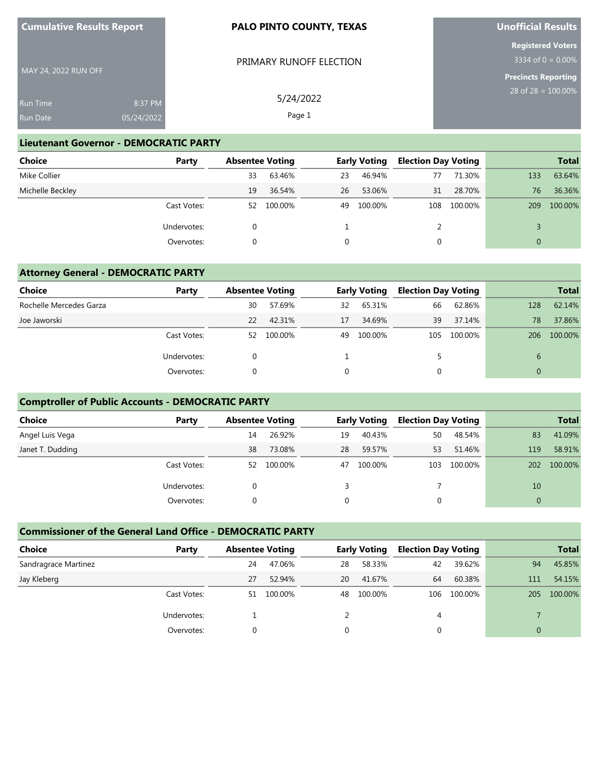| <b>Cumulative Results Report</b>                     |  | <b>PALO PINTO COUNTY, TEXAS</b> | Unofficial Results                                                            |  |  |
|------------------------------------------------------|--|---------------------------------|-------------------------------------------------------------------------------|--|--|
| MAY 24, 2022 RUN OFF                                 |  | PRIMARY RUNOFF ELECTION         | <b>Registered Voters</b><br>$3334$ of 0 = 0.00%<br><b>Precincts Reporting</b> |  |  |
| 8:37 PM<br><b>Run Time</b><br>05/24/2022<br>Run Date |  | 5/24/2022<br>Page 1             | 28 of $28 = 100.00\%$                                                         |  |  |

**Unofficial Results**

#### **Lieutenant Governor - DEMOCRATIC PARTY**

**Cumulative Results Report**

| <b>Choice</b>    | Party       | <b>Absentee Voting</b> |         |    | <b>Early Voting</b> | <b>Election Day Voting</b> |         |     | <b>Total</b> |
|------------------|-------------|------------------------|---------|----|---------------------|----------------------------|---------|-----|--------------|
| Mike Collier     |             | 33                     | 63.46%  | 23 | 46.94%              | 77                         | 71.30%  | 133 | 63.64%       |
| Michelle Beckley |             | 19                     | 36.54%  | 26 | 53.06%              | 31                         | 28.70%  | 76  | 36.36%       |
|                  | Cast Votes: | 52                     | 100.00% | 49 | 100.00%             | 108                        | 100.00% | 209 | 100.00%      |
|                  | Undervotes: | 0                      |         |    |                     |                            |         |     |              |
|                  | Overvotes:  | 0                      |         | 0  |                     | U                          |         |     |              |

### **Attorney General - DEMOCRATIC PARTY**

| Choice                  | Party       | <b>Absentee Voting</b> |         |          | <b>Early Voting</b> | <b>Election Day Voting</b> |         |     | <b>Total</b> |
|-------------------------|-------------|------------------------|---------|----------|---------------------|----------------------------|---------|-----|--------------|
| Rochelle Mercedes Garza |             | 30                     | 57.69%  | 32       | 65.31%              | 66                         | 62.86%  | 128 | 62.14%       |
| Joe Jaworski            |             | 22                     | 42.31%  | 17       | 34.69%              | 39                         | 37.14%  | 78  | 37.86%       |
|                         | Cast Votes: | 52                     | 100.00% | 49       | 100.00%             | 105                        | 100.00% | 206 | 100.00%      |
|                         | Undervotes: |                        |         |          |                     | 5                          |         | 6   |              |
|                         | Overvotes:  |                        |         | $\Omega$ |                     |                            |         |     |              |

## **Comptroller of Public Accounts - DEMOCRATIC PARTY**

| <b>Choice</b>    | Party       | <b>Absentee Voting</b> |         |    | <b>Early Voting</b> | <b>Election Day Voting</b> |         |     | <b>Total</b> |
|------------------|-------------|------------------------|---------|----|---------------------|----------------------------|---------|-----|--------------|
| Angel Luis Vega  |             | 14                     | 26.92%  | 19 | 40.43%              | 50                         | 48.54%  | 83  | 41.09%       |
| Janet T. Dudding |             | 38                     | 73.08%  | 28 | 59.57%              | 53                         | 51.46%  | 119 | 58.91%       |
|                  | Cast Votes: | 52                     | 100.00% | 47 | 100.00%             | 103                        | 100.00% | 202 | 100.00%      |
|                  | Undervotes: |                        |         |    |                     |                            |         | 10  |              |
|                  | Overvotes:  |                        |         |    |                     |                            |         |     |              |

#### **Commissioner of the General Land Office - DEMOCRATIC PARTY**

| <b>Choice</b>        | Party       | <b>Absentee Voting</b> |         |    | <b>Early Voting</b> | <b>Election Day Voting</b> |         |          | <b>Total</b> |
|----------------------|-------------|------------------------|---------|----|---------------------|----------------------------|---------|----------|--------------|
| Sandragrace Martinez |             | 24                     | 47.06%  | 28 | 58.33%              | 42                         | 39.62%  | 94       | 45.85%       |
| Jay Kleberg          |             | 27                     | 52.94%  | 20 | 41.67%              | 64                         | 60.38%  | 111      | 54.15%       |
|                      | Cast Votes: | 51                     | 100.00% | 48 | 100.00%             | 106                        | 100.00% | 205      | 100.00%      |
|                      | Undervotes: |                        |         |    |                     | 4                          |         |          |              |
|                      | Overvotes:  |                        |         |    |                     |                            |         | $\Omega$ |              |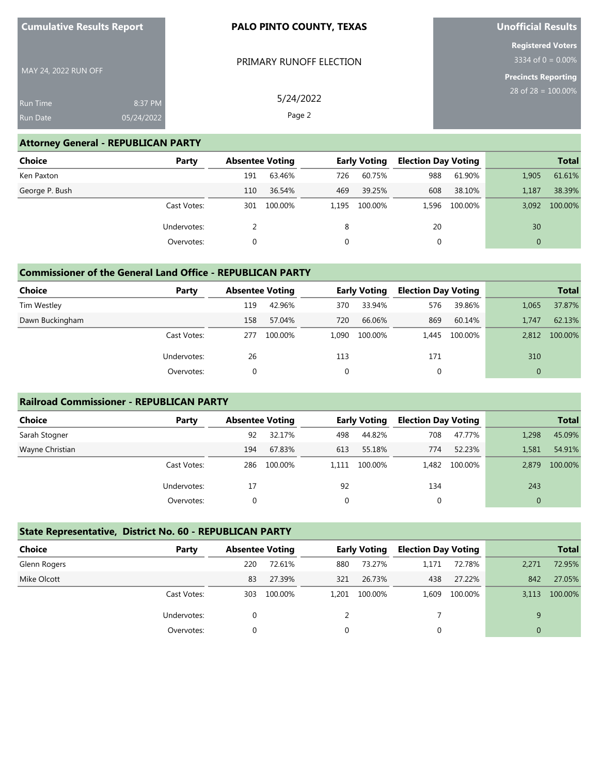| <b>Cumulative Results Report</b> |            | <b>PALO PINTO COUNTY, TEXAS</b> | Unofficial Results                               |
|----------------------------------|------------|---------------------------------|--------------------------------------------------|
|                                  |            | PRIMARY RUNOFF ELECTION         | <b>Registered Voters</b><br>3334 of $0 = 0.00\%$ |
| MAY 24, 2022 RUN OFF             |            |                                 | <b>Precincts Reporting</b>                       |
| <b>Run Time</b>                  | 8:37 PM    | 5/24/2022                       | 28 of $28 = 100.00\%$                            |
| Run Date                         | 05/24/2022 | Page 2                          |                                                  |

**Unofficial Results**

### **Attorney General - REPUBLICAN PARTY**

**Cumulative Results Report**

| <b>Choice</b>  | Party       | <b>Absentee Voting</b> |         |       | <b>Early Voting</b> | <b>Election Day Voting</b> |               |              | <b>Total</b> |
|----------------|-------------|------------------------|---------|-------|---------------------|----------------------------|---------------|--------------|--------------|
| Ken Paxton     |             | 191                    | 63.46%  | 726   | 60.75%              | 988                        | 61.90%        | 1,905        | 61.61%       |
| George P. Bush |             | 110                    | 36.54%  | 469   | 39.25%              | 608                        | 38.10%        | 1,187        | 38.39%       |
|                | Cast Votes: | 301                    | 100.00% | 1.195 | 100.00%             |                            | 1.596 100.00% | 3,092        | 100.00%      |
|                | Undervotes: |                        |         | 8     |                     | 20                         |               | 30           |              |
|                | Overvotes:  |                        |         | 0     |                     | 0                          |               | $\mathbf{0}$ |              |

### **Commissioner of the General Land Office - REPUBLICAN PARTY**

| Choice          | Party       | <b>Absentee Voting</b> |         |          | <b>Early Voting</b> | <b>Election Day Voting</b> |         |       | <b>Total</b> |
|-----------------|-------------|------------------------|---------|----------|---------------------|----------------------------|---------|-------|--------------|
| Tim Westley     |             | 119                    | 42.96%  | 370      | 33.94%              | 576                        | 39.86%  | 1,065 | 37.87%       |
| Dawn Buckingham |             | 158                    | 57.04%  | 720      | 66.06%              | 869                        | 60.14%  | 1.747 | 62.13%       |
|                 | Cast Votes: | 277                    | 100.00% | 1,090    | 100.00%             | 1.445                      | 100.00% | 2.812 | 100.00%      |
|                 | Undervotes: | 26                     |         | 113      |                     | 171                        |         | 310   |              |
|                 | Overvotes:  |                        |         | $\Omega$ |                     |                            |         |       |              |

#### **Railroad Commissioner - REPUBLICAN PARTY**

| <b>Choice</b>   | Party       | <b>Absentee Voting</b> |         |       | <b>Early Voting</b> | <b>Election Day Voting</b> |               |          | <b>Total</b> |
|-----------------|-------------|------------------------|---------|-------|---------------------|----------------------------|---------------|----------|--------------|
| Sarah Stogner   |             | 92                     | 32.17%  | 498   | 44.82%              | 708                        | 47.77%        | 1,298    | 45.09%       |
| Wayne Christian |             | 194                    | 67.83%  | 613   | 55.18%              | 774                        | 52.23%        | 1.581    | 54.91%       |
|                 | Cast Votes: | 286                    | 100.00% | 1.111 | 100.00%             |                            | 1,482 100.00% | 2.879    | 100.00%      |
|                 | Undervotes: | 17                     |         | 92    |                     | 134                        |               | 243      |              |
|                 | Overvotes:  |                        |         |       |                     |                            |               | $\Omega$ |              |

# **State Representative, District No. 60 - REPUBLICAN PARTY**

| <b>Choice</b> | Party       |     | <b>Absentee Voting</b> |       | <b>Early Voting</b> | <b>Election Day Voting</b> |         |          | <b>Total</b> |
|---------------|-------------|-----|------------------------|-------|---------------------|----------------------------|---------|----------|--------------|
| Glenn Rogers  |             | 220 | 72.61%                 | 880   | 73.27%              | 1.171                      | 72.78%  | 2,271    | 72.95%       |
| Mike Olcott   |             | 83  | 27.39%                 | 321   | 26.73%              | 438                        | 27.22%  | 842      | 27.05%       |
|               | Cast Votes: | 303 | 100.00%                | 1.201 | 100.00%             | 1,609                      | 100.00% | 3.113    | 100.00%      |
|               | Undervotes: |     |                        | 2     |                     |                            |         | 9        |              |
|               | Overvotes:  |     |                        |       |                     |                            |         | $\Omega$ |              |